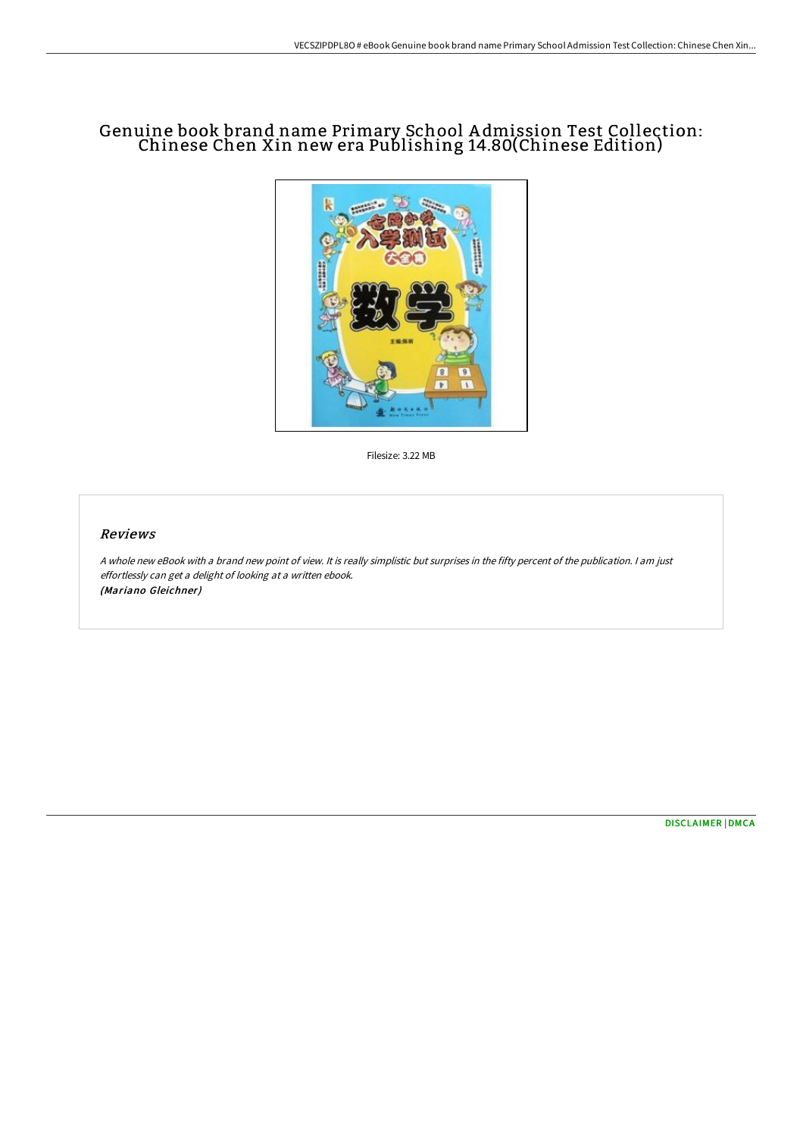# Genuine book brand name Primary School A dmission Test Collection: Chinese Chen Xin new era Publishing 14.80(Chinese Edition)



Filesize: 3.22 MB

### Reviews

A whole new eBook with <sup>a</sup> brand new point of view. It is really simplistic but surprises in the fifty percent of the publication. I am just effortlessly can get <sup>a</sup> delight of looking at <sup>a</sup> written ebook. (Mariano Gleichner)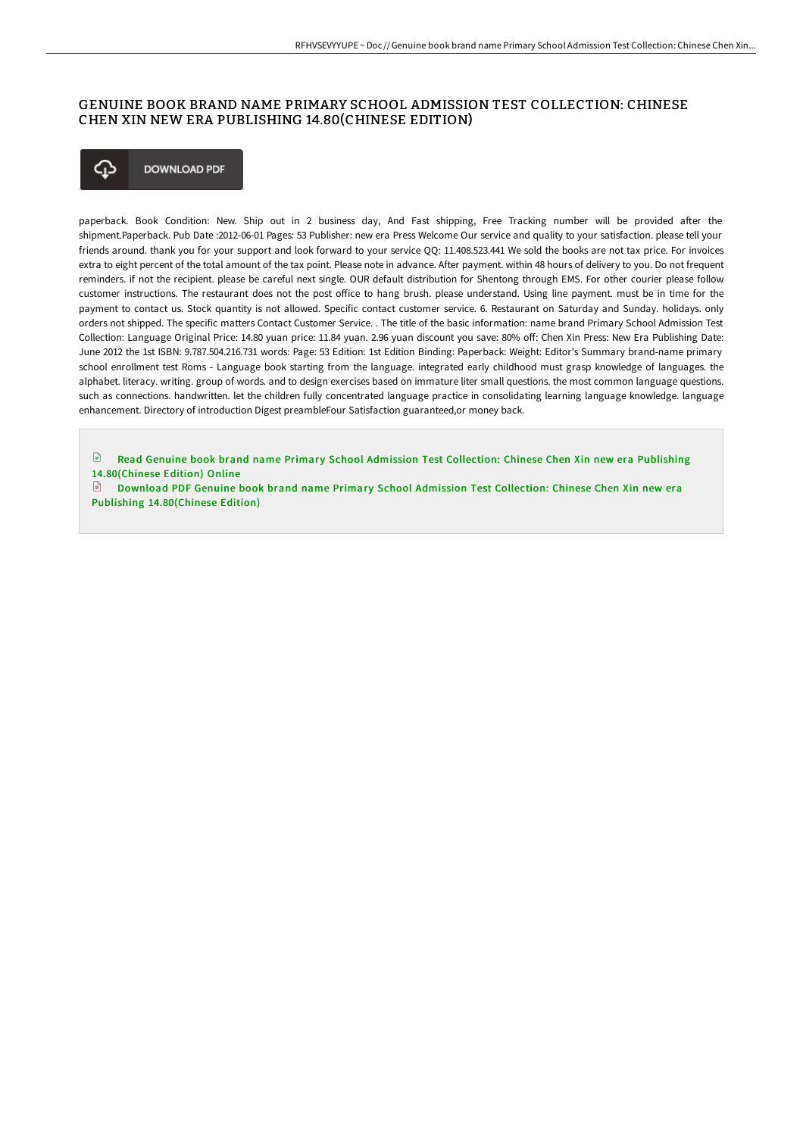## GENUINE BOOK BRAND NAME PRIMARY SCHOOL ADMISSION TEST COLLECTION: CHINESE CHEN XIN NEW ERA PUBLISHING 14.80(CHINESE EDITION)



paperback. Book Condition: New. Ship out in 2 business day, And Fast shipping, Free Tracking number will be provided after the shipment.Paperback. Pub Date :2012-06-01 Pages: 53 Publisher: new era Press Welcome Our service and quality to your satisfaction. please tell your friends around. thank you for your support and look forward to your service QQ: 11.408.523.441 We sold the books are not tax price. For invoices extra to eight percent of the total amount of the tax point. Please note in advance. After payment. within 48 hours of delivery to you. Do not frequent reminders. if not the recipient. please be careful next single. OUR default distribution for Shentong through EMS. For other courier please follow customer instructions. The restaurant does not the post office to hang brush. please understand. Using line payment. must be in time for the payment to contact us. Stock quantity is not allowed. Specific contact customer service. 6. Restaurant on Saturday and Sunday. holidays. only orders not shipped. The specific matters Contact Customer Service. . The title of the basic information: name brand Primary School Admission Test Collection: Language Original Price: 14.80 yuan price: 11.84 yuan. 2.96 yuan discount you save: 80% off: Chen Xin Press: New Era Publishing Date: June 2012 the 1st ISBN: 9.787.504.216.731 words: Page: 53 Edition: 1st Edition Binding: Paperback: Weight: Editor's Summary brand-name primary school enrollment test Roms - Language book starting from the language. integrated early childhood must grasp knowledge of languages. the alphabet. literacy. writing. group of words. and to design exercises based on immature liter small questions. the most common language questions. such as connections. handwritten. let the children fully concentrated language practice in consolidating learning language knowledge. language enhancement. Directory of introduction Digest preambleFour Satisfaction guaranteed,or money back.

Read Genuine book brand name Primary School Admission Test Collection: Chinese Chen Xin new era Publishing [14.80\(Chinese](http://digilib.live/genuine-book-brand-name-primary-school-admission-1.html) Edition) Online

 $\mathbb{R}$ Download PDF Genuine book brand name Primary School Admission Test Collection: Chinese Chen Xin new era Publishing [14.80\(Chinese](http://digilib.live/genuine-book-brand-name-primary-school-admission-1.html) Edition)